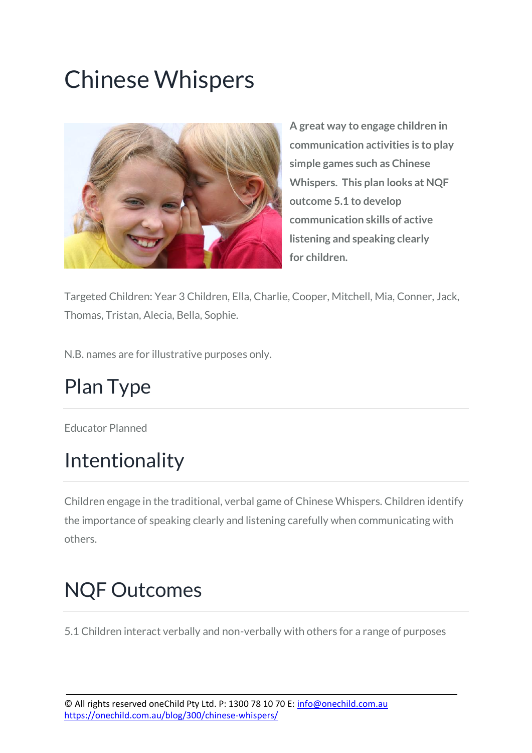# Chinese Whispers



**A great way to engage children in communication activities is to play simple games such as Chinese Whispers. This plan looks at NQF outcome 5.1 to develop communication skills of active listening and speaking clearly for children.**

Targeted Children: Year 3 Children, Ella, Charlie, Cooper, Mitchell, Mia, Conner, Jack, Thomas, Tristan, Alecia, Bella, Sophie.

N.B. names are for illustrative purposes only.

### Plan Type

Educator Planned

#### Intentionality

Children engage in the traditional, verbal game of Chinese Whispers. Children identify the importance of speaking clearly and listening carefully when communicating with others.

### NQF Outcomes

5.1 Children interact verbally and non-verbally with others for a range of purposes